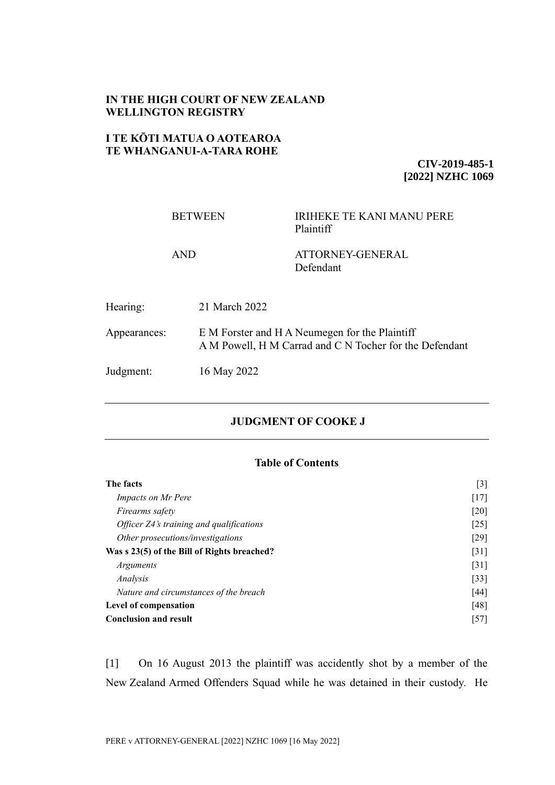## **IN THE HIGH COURT OF NEW ZEALAND WELLINGTON REGISTRY**

# **I TE KŌTI MATUA O AOTEAROA TE WHANGANUI-A-TARA ROHE**

**CIV-2019-485-1 [2022] NZHC 1069**

|              | <b>BETWEEN</b>                                                                                            | <b>IRIHEKE TE KANI MANU PERE</b><br>Plaintiff |
|--------------|-----------------------------------------------------------------------------------------------------------|-----------------------------------------------|
| <b>AND</b>   |                                                                                                           | ATTORNEY-GENERAL<br>Defendant                 |
| Hearing:     | 21 March 2022                                                                                             |                                               |
| Appearances: | E M Forster and H A Neumegen for the Plaintiff<br>A M Powell, H M Carrad and C N Tocher for the Defendant |                                               |
| Judgment:    | 16 May 2022                                                                                               |                                               |

## **JUDGMENT OF COOKE J**

### **Table of Contents**

| The facts                                       | $\lceil 3 \rceil$  |
|-------------------------------------------------|--------------------|
| <i>Impacts on Mr Pere</i>                       | $[17]$             |
| <i>Firearms safety</i>                          | [20]               |
| <i>Officer Z4's training and qualifications</i> | [25]               |
| Other prosecutions/investigations               | $[29]$             |
| Was s 23(5) of the Bill of Rights breached?     | $\lceil 31 \rceil$ |
| <i>Arguments</i>                                | $\lceil 31 \rceil$ |
| Analysis                                        | $[33]$             |
| Nature and circumstances of the breach          | [44]               |
| Level of compensation                           | [48]               |
| <b>Conclusion and result</b>                    | $\lceil 57 \rceil$ |

[1] On 16 August 2013 the plaintiff was accidently shot by a member of the New Zealand Armed Offenders Squad while he was detained in their custody. He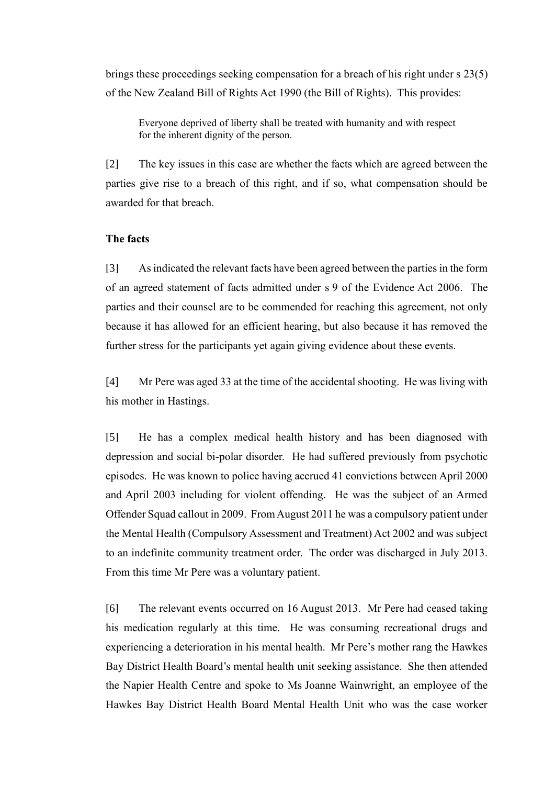brings these proceedings seeking compensation for a breach of his right under s 23(5) of the New Zealand Bill of Rights Act 1990 (the Bill of Rights). This provides:

Everyone deprived of liberty shall be treated with humanity and with respect for the inherent dignity of the person.

[2] The key issues in this case are whether the facts which are agreed between the parties give rise to a breach of this right, and if so, what compensation should be awarded for that breach.

### <span id="page-1-0"></span>**The facts**

[3] As indicated the relevant facts have been agreed between the parties in the form of an agreed statement of facts admitted under s 9 of the Evidence Act 2006. The parties and their counsel are to be commended for reaching this agreement, not only because it has allowed for an efficient hearing, but also because it has removed the further stress for the participants yet again giving evidence about these events.

[4] Mr Pere was aged 33 at the time of the accidental shooting. He was living with his mother in Hastings.

[5] He has a complex medical health history and has been diagnosed with depression and social bi-polar disorder. He had suffered previously from psychotic episodes. He was known to police having accrued 41 convictions between April 2000 and April 2003 including for violent offending. He was the subject of an Armed Offender Squad callout in 2009. From August 2011 he was a compulsory patient under the Mental Health (Compulsory Assessment and Treatment) Act 2002 and was subject to an indefinite community treatment order. The order was discharged in July 2013. From this time Mr Pere was a voluntary patient.

[6] The relevant events occurred on 16 August 2013. Mr Pere had ceased taking his medication regularly at this time. He was consuming recreational drugs and experiencing a deterioration in his mental health. Mr Pere's mother rang the Hawkes Bay District Health Board's mental health unit seeking assistance. She then attended the Napier Health Centre and spoke to Ms Joanne Wainwright, an employee of the Hawkes Bay District Health Board Mental Health Unit who was the case worker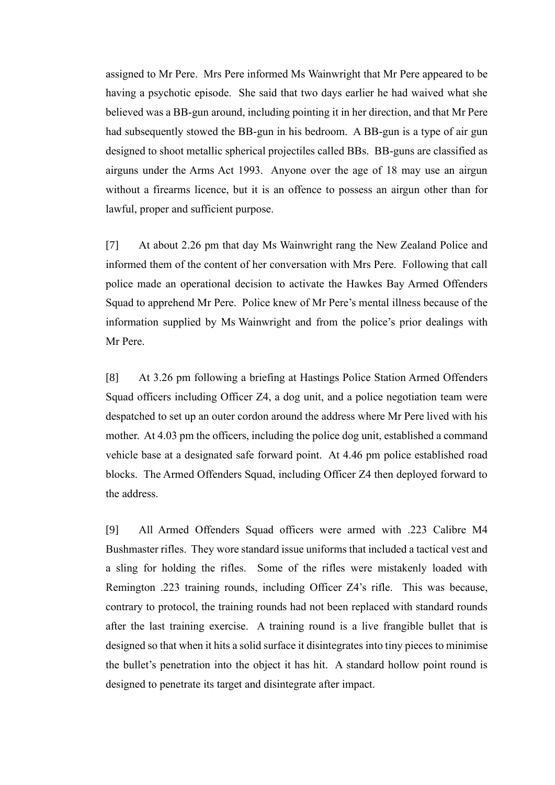assigned to Mr Pere. Mrs Pere informed Ms Wainwright that Mr Pere appeared to be having a psychotic episode. She said that two days earlier he had waived what she believed was a BB-gun around, including pointing it in her direction, and that Mr Pere had subsequently stowed the BB-gun in his bedroom. A BB-gun is a type of air gun designed to shoot metallic spherical projectiles called BBs. BB-guns are classified as airguns under the Arms Act 1993. Anyone over the age of 18 may use an airgun without a firearms licence, but it is an offence to possess an airgun other than for lawful, proper and sufficient purpose.

[7] At about 2.26 pm that day Ms Wainwright rang the New Zealand Police and informed them of the content of her conversation with Mrs Pere. Following that call police made an operational decision to activate the Hawkes Bay Armed Offenders Squad to apprehend Mr Pere. Police knew of Mr Pere's mental illness because of the information supplied by Ms Wainwright and from the police's prior dealings with Mr Pere.

[8] At 3.26 pm following a briefing at Hastings Police Station Armed Offenders Squad officers including Officer Z4, a dog unit, and a police negotiation team were despatched to set up an outer cordon around the address where Mr Pere lived with his mother. At 4.03 pm the officers, including the police dog unit, established a command vehicle base at a designated safe forward point. At 4.46 pm police established road blocks. The Armed Offenders Squad, including Officer Z4 then deployed forward to the address.

[9] All Armed Offenders Squad officers were armed with .223 Calibre M4 Bushmaster rifles. They wore standard issue uniforms that included a tactical vest and a sling for holding the rifles. Some of the rifles were mistakenly loaded with Remington .223 training rounds, including Officer Z4's rifle. This was because, contrary to protocol, the training rounds had not been replaced with standard rounds after the last training exercise. A training round is a live frangible bullet that is designed so that when it hits a solid surface it disintegrates into tiny pieces to minimise the bullet's penetration into the object it has hit. A standard hollow point round is designed to penetrate its target and disintegrate after impact.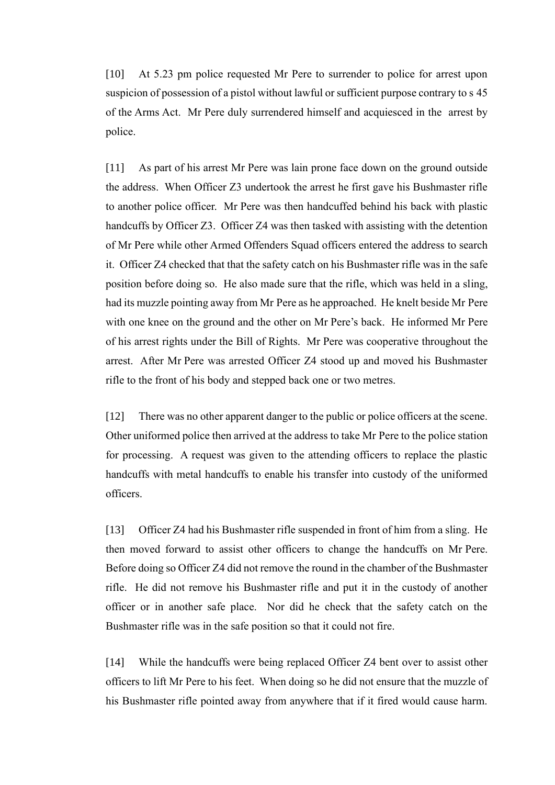[10] At 5.23 pm police requested Mr Pere to surrender to police for arrest upon suspicion of possession of a pistol without lawful or sufficient purpose contrary to s 45 of the Arms Act. Mr Pere duly surrendered himself and acquiesced in the arrest by police.

[11] As part of his arrest Mr Pere was lain prone face down on the ground outside the address. When Officer Z3 undertook the arrest he first gave his Bushmaster rifle to another police officer. Mr Pere was then handcuffed behind his back with plastic handcuffs by Officer Z3. Officer Z4 was then tasked with assisting with the detention of Mr Pere while other Armed Offenders Squad officers entered the address to search it. Officer Z4 checked that that the safety catch on his Bushmaster rifle was in the safe position before doing so. He also made sure that the rifle, which was held in a sling, had its muzzle pointing away from Mr Pere as he approached. He knelt beside Mr Pere with one knee on the ground and the other on Mr Pere's back. He informed Mr Pere of his arrest rights under the Bill of Rights. Mr Pere was cooperative throughout the arrest. After Mr Pere was arrested Officer Z4 stood up and moved his Bushmaster rifle to the front of his body and stepped back one or two metres.

[12] There was no other apparent danger to the public or police officers at the scene. Other uniformed police then arrived at the address to take Mr Pere to the police station for processing. A request was given to the attending officers to replace the plastic handcuffs with metal handcuffs to enable his transfer into custody of the uniformed officers.

[13] Officer Z4 had his Bushmaster rifle suspended in front of him from a sling. He then moved forward to assist other officers to change the handcuffs on Mr Pere. Before doing so Officer Z4 did not remove the round in the chamber of the Bushmaster rifle. He did not remove his Bushmaster rifle and put it in the custody of another officer or in another safe place. Nor did he check that the safety catch on the Bushmaster rifle was in the safe position so that it could not fire.

[14] While the handcuffs were being replaced Officer Z4 bent over to assist other officers to lift Mr Pere to his feet. When doing so he did not ensure that the muzzle of his Bushmaster rifle pointed away from anywhere that if it fired would cause harm.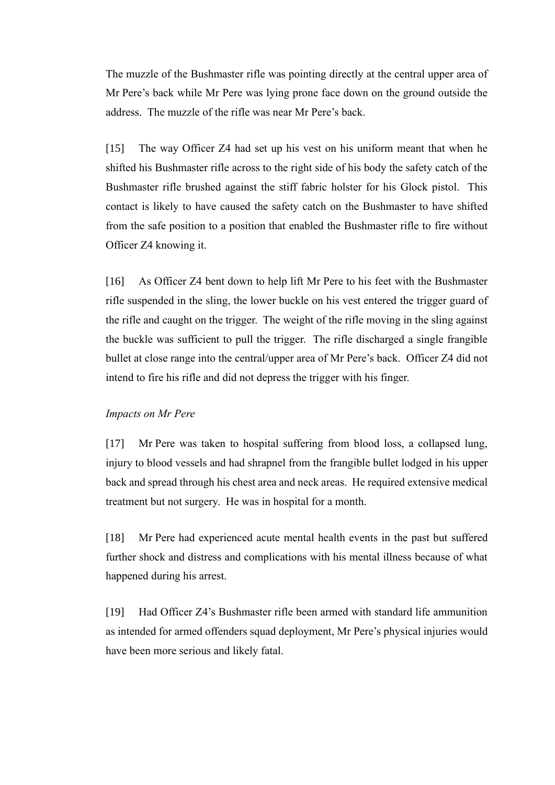The muzzle of the Bushmaster rifle was pointing directly at the central upper area of Mr Pere's back while Mr Pere was lying prone face down on the ground outside the address. The muzzle of the rifle was near Mr Pere's back.

[15] The way Officer Z4 had set up his vest on his uniform meant that when he shifted his Bushmaster rifle across to the right side of his body the safety catch of the Bushmaster rifle brushed against the stiff fabric holster for his Glock pistol. This contact is likely to have caused the safety catch on the Bushmaster to have shifted from the safe position to a position that enabled the Bushmaster rifle to fire without Officer Z4 knowing it.

[16] As Officer Z4 bent down to help lift Mr Pere to his feet with the Bushmaster rifle suspended in the sling, the lower buckle on his vest entered the trigger guard of the rifle and caught on the trigger. The weight of the rifle moving in the sling against the buckle was sufficient to pull the trigger. The rifle discharged a single frangible bullet at close range into the central/upper area of Mr Pere's back. Officer Z4 did not intend to fire his rifle and did not depress the trigger with his finger.

### <span id="page-4-0"></span>*Impacts on Mr Pere*

[17] Mr Pere was taken to hospital suffering from blood loss, a collapsed lung, injury to blood vessels and had shrapnel from the frangible bullet lodged in his upper back and spread through his chest area and neck areas. He required extensive medical treatment but not surgery. He was in hospital for a month.

[18] Mr Pere had experienced acute mental health events in the past but suffered further shock and distress and complications with his mental illness because of what happened during his arrest.

[19] Had Officer Z4's Bushmaster rifle been armed with standard life ammunition as intended for armed offenders squad deployment, Mr Pere's physical injuries would have been more serious and likely fatal.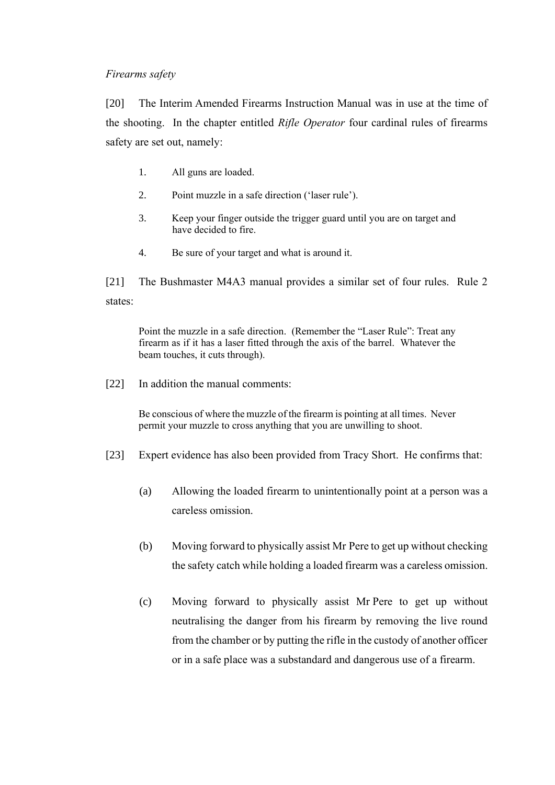## <span id="page-5-0"></span>*Firearms safety*

[20] The Interim Amended Firearms Instruction Manual was in use at the time of the shooting. In the chapter entitled *Rifle Operator* four cardinal rules of firearms safety are set out, namely:

- 1. All guns are loaded.
- 2. Point muzzle in a safe direction ('laser rule').
- 3. Keep your finger outside the trigger guard until you are on target and have decided to fire.
- 4. Be sure of your target and what is around it.

[21] The Bushmaster M4A3 manual provides a similar set of four rules. Rule 2 states:

Point the muzzle in a safe direction. (Remember the "Laser Rule": Treat any firearm as if it has a laser fitted through the axis of the barrel. Whatever the beam touches, it cuts through).

[22] In addition the manual comments:

Be conscious of where the muzzle of the firearm is pointing at all times. Never permit your muzzle to cross anything that you are unwilling to shoot.

- [23] Expert evidence has also been provided from Tracy Short. He confirms that:
	- (a) Allowing the loaded firearm to unintentionally point at a person was a careless omission.
	- (b) Moving forward to physically assist Mr Pere to get up without checking the safety catch while holding a loaded firearm was a careless omission.
	- (c) Moving forward to physically assist Mr Pere to get up without neutralising the danger from his firearm by removing the live round from the chamber or by putting the rifle in the custody of another officer or in a safe place was a substandard and dangerous use of a firearm.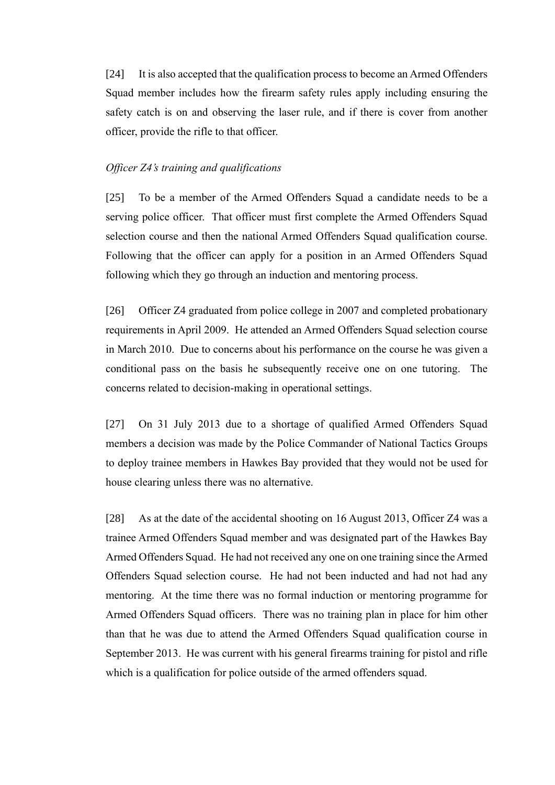[24] It is also accepted that the qualification process to become an Armed Offenders Squad member includes how the firearm safety rules apply including ensuring the safety catch is on and observing the laser rule, and if there is cover from another officer, provide the rifle to that officer.

### <span id="page-6-0"></span>*Officer Z4's training and qualifications*

[25] To be a member of the Armed Offenders Squad a candidate needs to be a serving police officer. That officer must first complete the Armed Offenders Squad selection course and then the national Armed Offenders Squad qualification course. Following that the officer can apply for a position in an Armed Offenders Squad following which they go through an induction and mentoring process.

[26] Officer Z4 graduated from police college in 2007 and completed probationary requirements in April 2009. He attended an Armed Offenders Squad selection course in March 2010. Due to concerns about his performance on the course he was given a conditional pass on the basis he subsequently receive one on one tutoring. The concerns related to decision-making in operational settings.

[27] On 31 July 2013 due to a shortage of qualified Armed Offenders Squad members a decision was made by the Police Commander of National Tactics Groups to deploy trainee members in Hawkes Bay provided that they would not be used for house clearing unless there was no alternative.

[28] As at the date of the accidental shooting on 16 August 2013, Officer Z4 was a trainee Armed Offenders Squad member and was designated part of the Hawkes Bay Armed Offenders Squad. He had not received any one on one training since the Armed Offenders Squad selection course. He had not been inducted and had not had any mentoring. At the time there was no formal induction or mentoring programme for Armed Offenders Squad officers. There was no training plan in place for him other than that he was due to attend the Armed Offenders Squad qualification course in September 2013. He was current with his general firearms training for pistol and rifle which is a qualification for police outside of the armed offenders squad.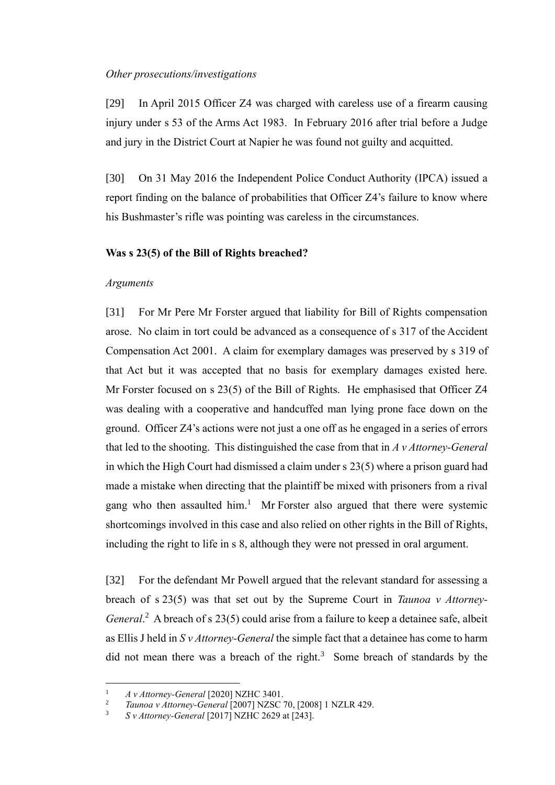### <span id="page-7-0"></span>*Other prosecutions/investigations*

[29] In April 2015 Officer Z4 was charged with careless use of a firearm causing injury under s 53 of the Arms Act 1983. In February 2016 after trial before a Judge and jury in the District Court at Napier he was found not guilty and acquitted.

[30] On 31 May 2016 the Independent Police Conduct Authority (IPCA) issued a report finding on the balance of probabilities that Officer Z4's failure to know where his Bushmaster's rifle was pointing was careless in the circumstances.

### <span id="page-7-1"></span>**Was s 23(5) of the Bill of Rights breached?**

#### <span id="page-7-2"></span>*Arguments*

[31] For Mr Pere Mr Forster argued that liability for Bill of Rights compensation arose. No claim in tort could be advanced as a consequence of s 317 of the Accident Compensation Act 2001. A claim for exemplary damages was preserved by s 319 of that Act but it was accepted that no basis for exemplary damages existed here. Mr Forster focused on s 23(5) of the Bill of Rights. He emphasised that Officer Z4 was dealing with a cooperative and handcuffed man lying prone face down on the ground. Officer Z4's actions were not just a one off as he engaged in a series of errors that led to the shooting. This distinguished the case from that in *A v Attorney-General* in which the High Court had dismissed a claim under s 23(5) where a prison guard had made a mistake when directing that the plaintiff be mixed with prisoners from a rival gang who then assaulted him.<sup>1</sup> Mr Forster also argued that there were systemic shortcomings involved in this case and also relied on other rights in the Bill of Rights, including the right to life in s 8, although they were not pressed in oral argument.

<span id="page-7-5"></span><span id="page-7-3"></span>[32] For the defendant Mr Powell argued that the relevant standard for assessing a breach of s 23(5) was that set out by the Supreme Court in *Taunoa v Attorney-*General.<sup>2</sup> A breach of s 23(5) could arise from a failure to keep a detainee safe, albeit as Ellis J held in *S v Attorney-General* the simple fact that a detainee has come to harm did not mean there was a breach of the right.<sup>3</sup> Some breach of standards by the

<span id="page-7-4"></span><sup>1</sup> *A v Attorney-General* [2020] NZHC 3401.

<sup>2</sup> *Taunoa v Attorney-General* [2007] NZSC 70, [2008] 1 NZLR 429.

<sup>3</sup> *S v Attorney-General* [2017] NZHC 2629 at [243].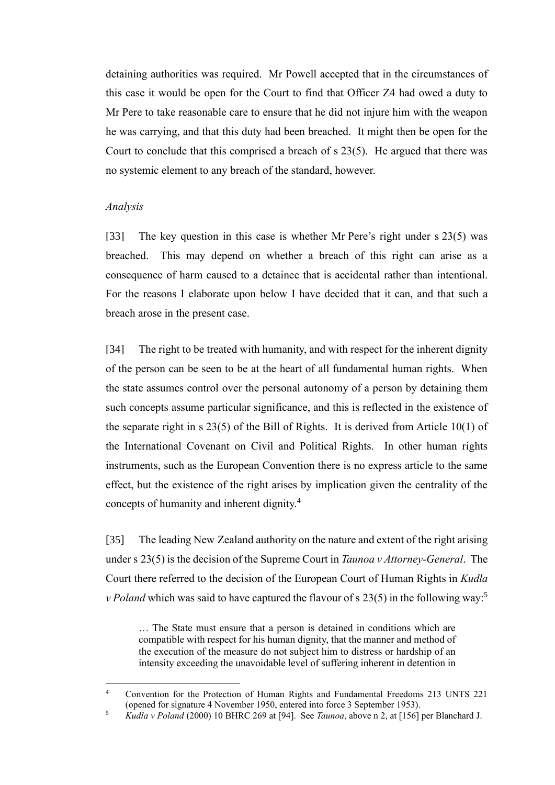detaining authorities was required. Mr Powell accepted that in the circumstances of this case it would be open for the Court to find that Officer Z4 had owed a duty to Mr Pere to take reasonable care to ensure that he did not injure him with the weapon he was carrying, and that this duty had been breached. It might then be open for the Court to conclude that this comprised a breach of s 23(5). He argued that there was no systemic element to any breach of the standard, however.

#### <span id="page-8-0"></span>*Analysis*

[33] The key question in this case is whether Mr Pere's right under s 23(5) was breached. This may depend on whether a breach of this right can arise as a consequence of harm caused to a detainee that is accidental rather than intentional. For the reasons I elaborate upon below I have decided that it can, and that such a breach arose in the present case.

[34] The right to be treated with humanity, and with respect for the inherent dignity of the person can be seen to be at the heart of all fundamental human rights. When the state assumes control over the personal autonomy of a person by detaining them such concepts assume particular significance, and this is reflected in the existence of the separate right in s 23(5) of the Bill of Rights. It is derived from Article 10(1) of the International Covenant on Civil and Political Rights. In other human rights instruments, such as the European Convention there is no express article to the same effect, but the existence of the right arises by implication given the centrality of the concepts of humanity and inherent dignity.<sup>4</sup>

[35] The leading New Zealand authority on the nature and extent of the right arising under s 23(5) is the decision of the Supreme Court in *Taunoa v Attorney-General*. The Court there referred to the decision of the European Court of Human Rights in *Kudla v Poland* which was said to have captured the flavour of s 23(5) in the following way:<sup>5</sup>

… The State must ensure that a person is detained in conditions which are compatible with respect for his human dignity, that the manner and method of the execution of the measure do not subject him to distress or hardship of an intensity exceeding the unavoidable level of suffering inherent in detention in

<sup>4</sup> Convention for the Protection of Human Rights and Fundamental Freedoms 213 UNTS 221 (opened for signature 4 November 1950, entered into force 3 September 1953).

<sup>5</sup> *Kudla v Poland* (2000) 10 BHRC 269 at [94]. See *Taunoa*, above n [2,](#page-7-3) at [156] per Blanchard J.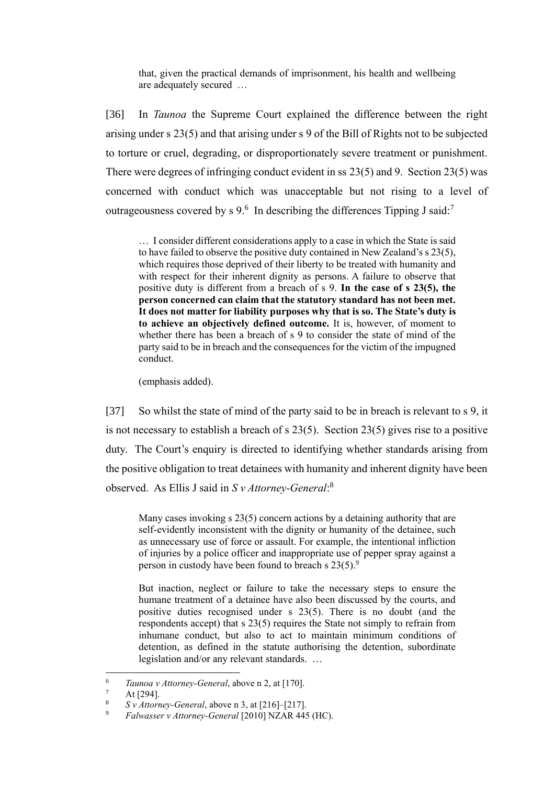that, given the practical demands of imprisonment, his health and wellbeing are adequately secured …

[36] In *Taunoa* the Supreme Court explained the difference between the right arising under s 23(5) and that arising under s 9 of the Bill of Rights not to be subjected to torture or cruel, degrading, or disproportionately severe treatment or punishment. There were degrees of infringing conduct evident in ss 23(5) and 9. Section 23(5) was concerned with conduct which was unacceptable but not rising to a level of outrageousness covered by s 9. $^6$  In describing the differences Tipping J said:<sup>7</sup>

… I consider different considerations apply to a case in which the State is said to have failed to observe the positive duty contained in New Zealand's s 23(5), which requires those deprived of their liberty to be treated with humanity and with respect for their inherent dignity as persons. A failure to observe that positive duty is different from a breach of s 9. **In the case of s 23(5), the person concerned can claim that the statutory standard has not been met. It does not matter for liability purposes why that is so. The State's duty is to achieve an objectively defined outcome.** It is, however, of moment to whether there has been a breach of s 9 to consider the state of mind of the party said to be in breach and the consequences for the victim of the impugned conduct.

(emphasis added).

[37] So whilst the state of mind of the party said to be in breach is relevant to s 9, it is not necessary to establish a breach of s 23(5). Section 23(5) gives rise to a positive duty. The Court's enquiry is directed to identifying whether standards arising from the positive obligation to treat detainees with humanity and inherent dignity have been observed. As Ellis J said in *S v Attorney-General*: 8

Many cases invoking s 23(5) concern actions by a detaining authority that are self-evidently inconsistent with the dignity or humanity of the detainee, such as unnecessary use of force or assault. For example, the intentional infliction of injuries by a police officer and inappropriate use of pepper spray against a person in custody have been found to breach s  $23(5)$ .<sup>9</sup>

<span id="page-9-0"></span>But inaction, neglect or failure to take the necessary steps to ensure the humane treatment of a detainee have also been discussed by the courts, and positive duties recognised under s 23(5). There is no doubt (and the respondents accept) that s 23(5) requires the State not simply to refrain from inhumane conduct, but also to act to maintain minimum conditions of detention, as defined in the statute authorising the detention, subordinate legislation and/or any relevant standards. …

<sup>6</sup> *Taunoa v Attorney-General*, above n [2,](#page-7-3) at [170].

 $\frac{7}{8}$  At [294].

<sup>&</sup>lt;sup>8</sup> *S v Attorney-General*, above n [3,](#page-7-4) at  $[216]-[217]$ .

<sup>9</sup> *Falwasser v Attorney-General* [2010] NZAR 445 (HC).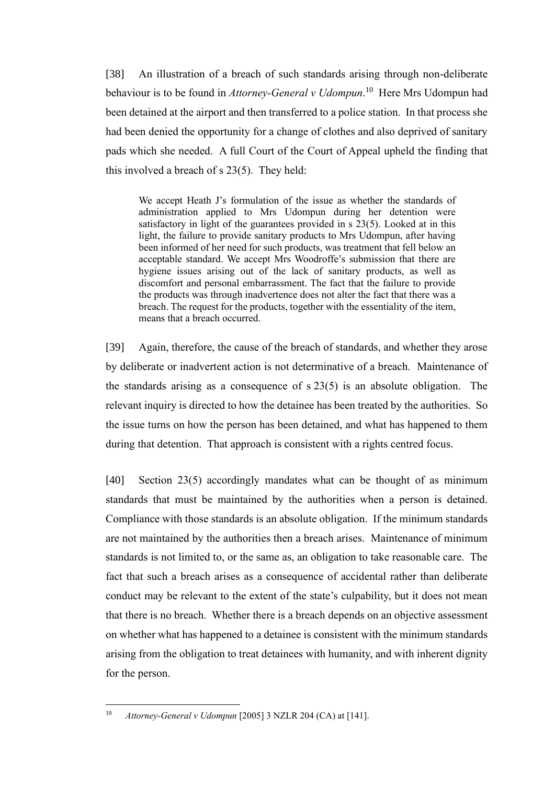[38] An illustration of a breach of such standards arising through non-deliberate behaviour is to be found in *Attorney-General v Udompun*. 10 Here Mrs Udompun had been detained at the airport and then transferred to a police station. In that process she had been denied the opportunity for a change of clothes and also deprived of sanitary pads which she needed. A full Court of the Court of Appeal upheld the finding that this involved a breach of s 23(5). They held:

We accept Heath J's formulation of the issue as whether the standards of administration applied to Mrs Udompun during her detention were satisfactory in light of the guarantees provided in s 23(5). Looked at in this light, the failure to provide sanitary products to Mrs Udompun, after having been informed of her need for such products, was treatment that fell below an acceptable standard. We accept Mrs Woodroffe's submission that there are hygiene issues arising out of the lack of sanitary products, as well as discomfort and personal embarrassment. The fact that the failure to provide the products was through inadvertence does not alter the fact that there was a breach. The request for the products, together with the essentiality of the item, means that a breach occurred.

[39] Again, therefore, the cause of the breach of standards, and whether they arose by deliberate or inadvertent action is not determinative of a breach. Maintenance of the standards arising as a consequence of s 23(5) is an absolute obligation. The relevant inquiry is directed to how the detainee has been treated by the authorities. So the issue turns on how the person has been detained, and what has happened to them during that detention. That approach is consistent with a rights centred focus.

[40] Section 23(5) accordingly mandates what can be thought of as minimum standards that must be maintained by the authorities when a person is detained. Compliance with those standards is an absolute obligation. If the minimum standards are not maintained by the authorities then a breach arises. Maintenance of minimum standards is not limited to, or the same as, an obligation to take reasonable care. The fact that such a breach arises as a consequence of accidental rather than deliberate conduct may be relevant to the extent of the state's culpability, but it does not mean that there is no breach. Whether there is a breach depends on an objective assessment on whether what has happened to a detainee is consistent with the minimum standards arising from the obligation to treat detainees with humanity, and with inherent dignity for the person.

<sup>10</sup> *Attorney-General v Udompun* [2005] 3 NZLR 204 (CA) at [141].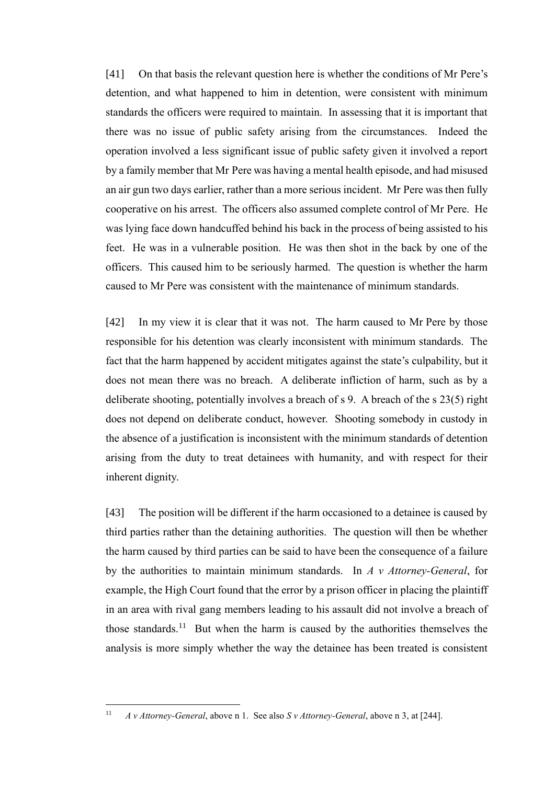[41] On that basis the relevant question here is whether the conditions of Mr Pere's detention, and what happened to him in detention, were consistent with minimum standards the officers were required to maintain. In assessing that it is important that there was no issue of public safety arising from the circumstances. Indeed the operation involved a less significant issue of public safety given it involved a report by a family member that Mr Pere was having a mental health episode, and had misused an air gun two days earlier, rather than a more serious incident. Mr Pere was then fully cooperative on his arrest. The officers also assumed complete control of Mr Pere. He was lying face down handcuffed behind his back in the process of being assisted to his feet. He was in a vulnerable position. He was then shot in the back by one of the officers. This caused him to be seriously harmed. The question is whether the harm caused to Mr Pere was consistent with the maintenance of minimum standards.

[42] In my view it is clear that it was not. The harm caused to Mr Pere by those responsible for his detention was clearly inconsistent with minimum standards. The fact that the harm happened by accident mitigates against the state's culpability, but it does not mean there was no breach. A deliberate infliction of harm, such as by a deliberate shooting, potentially involves a breach of s 9. A breach of the s 23(5) right does not depend on deliberate conduct, however. Shooting somebody in custody in the absence of a justification is inconsistent with the minimum standards of detention arising from the duty to treat detainees with humanity, and with respect for their inherent dignity.

[43] The position will be different if the harm occasioned to a detainee is caused by third parties rather than the detaining authorities. The question will then be whether the harm caused by third parties can be said to have been the consequence of a failure by the authorities to maintain minimum standards. In *A v Attorney-General*, for example, the High Court found that the error by a prison officer in placing the plaintiff in an area with rival gang members leading to his assault did not involve a breach of those standards.<sup>11</sup> But when the harm is caused by the authorities themselves the analysis is more simply whether the way the detainee has been treated is consistent

<sup>11</sup> *A v Attorney-General*, above n [1.](#page-7-5) See also *S v Attorney-General*, above n [3,](#page-7-4) at [244].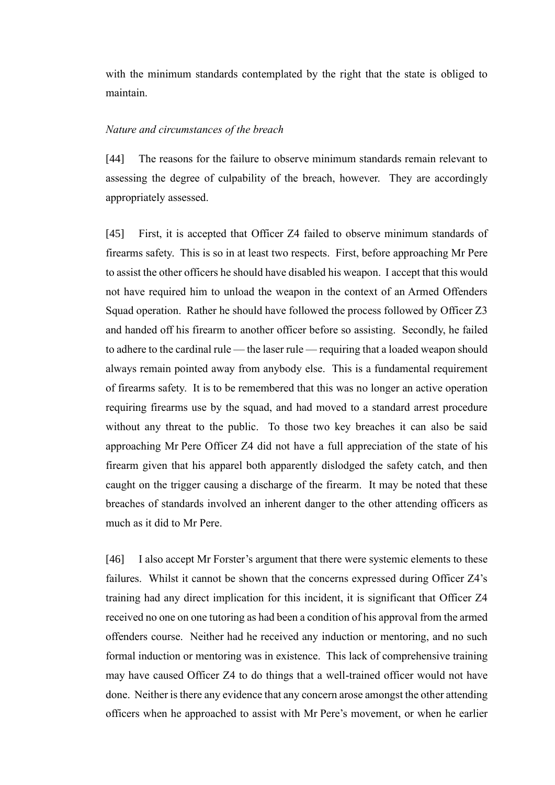with the minimum standards contemplated by the right that the state is obliged to maintain.

### <span id="page-12-0"></span>*Nature and circumstances of the breach*

[44] The reasons for the failure to observe minimum standards remain relevant to assessing the degree of culpability of the breach, however. They are accordingly appropriately assessed.

<span id="page-12-1"></span>[45] First, it is accepted that Officer Z4 failed to observe minimum standards of firearms safety. This is so in at least two respects. First, before approaching Mr Pere to assist the other officers he should have disabled his weapon. I accept that this would not have required him to unload the weapon in the context of an Armed Offenders Squad operation. Rather he should have followed the process followed by Officer Z3 and handed off his firearm to another officer before so assisting. Secondly, he failed to adhere to the cardinal rule — the laser rule — requiring that a loaded weapon should always remain pointed away from anybody else. This is a fundamental requirement of firearms safety. It is to be remembered that this was no longer an active operation requiring firearms use by the squad, and had moved to a standard arrest procedure without any threat to the public. To those two key breaches it can also be said approaching Mr Pere Officer Z4 did not have a full appreciation of the state of his firearm given that his apparel both apparently dislodged the safety catch, and then caught on the trigger causing a discharge of the firearm. It may be noted that these breaches of standards involved an inherent danger to the other attending officers as much as it did to Mr Pere.

[46] I also accept Mr Forster's argument that there were systemic elements to these failures. Whilst it cannot be shown that the concerns expressed during Officer Z4's training had any direct implication for this incident, it is significant that Officer Z4 received no one on one tutoring as had been a condition of his approval from the armed offenders course. Neither had he received any induction or mentoring, and no such formal induction or mentoring was in existence. This lack of comprehensive training may have caused Officer Z4 to do things that a well-trained officer would not have done. Neither is there any evidence that any concern arose amongst the other attending officers when he approached to assist with Mr Pere's movement, or when he earlier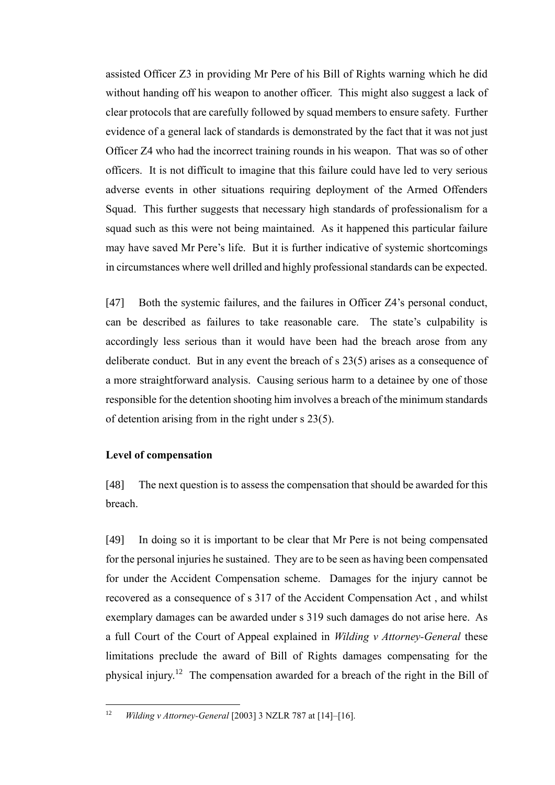assisted Officer Z3 in providing Mr Pere of his Bill of Rights warning which he did without handing off his weapon to another officer. This might also suggest a lack of clear protocols that are carefully followed by squad members to ensure safety. Further evidence of a general lack of standards is demonstrated by the fact that it was not just Officer Z4 who had the incorrect training rounds in his weapon. That was so of other officers. It is not difficult to imagine that this failure could have led to very serious adverse events in other situations requiring deployment of the Armed Offenders Squad. This further suggests that necessary high standards of professionalism for a squad such as this were not being maintained. As it happened this particular failure may have saved Mr Pere's life. But it is further indicative of systemic shortcomings in circumstances where well drilled and highly professional standards can be expected.

<span id="page-13-1"></span>[47] Both the systemic failures, and the failures in Officer Z4's personal conduct, can be described as failures to take reasonable care. The state's culpability is accordingly less serious than it would have been had the breach arose from any deliberate conduct. But in any event the breach of s 23(5) arises as a consequence of a more straightforward analysis. Causing serious harm to a detainee by one of those responsible for the detention shooting him involves a breach of the minimum standards of detention arising from in the right under s 23(5).

# <span id="page-13-0"></span>**Level of compensation**

[48] The next question is to assess the compensation that should be awarded for this breach.

[49] In doing so it is important to be clear that Mr Pere is not being compensated for the personal injuries he sustained. They are to be seen as having been compensated for under the Accident Compensation scheme. Damages for the injury cannot be recovered as a consequence of s 317 of the Accident Compensation Act , and whilst exemplary damages can be awarded under s 319 such damages do not arise here. As a full Court of the Court of Appeal explained in *Wilding v Attorney-General* these limitations preclude the award of Bill of Rights damages compensating for the physical injury.<sup>12</sup> The compensation awarded for a breach of the right in the Bill of

<sup>12</sup> *Wilding v Attorney-General* [2003] 3 NZLR 787 at [14]–[16].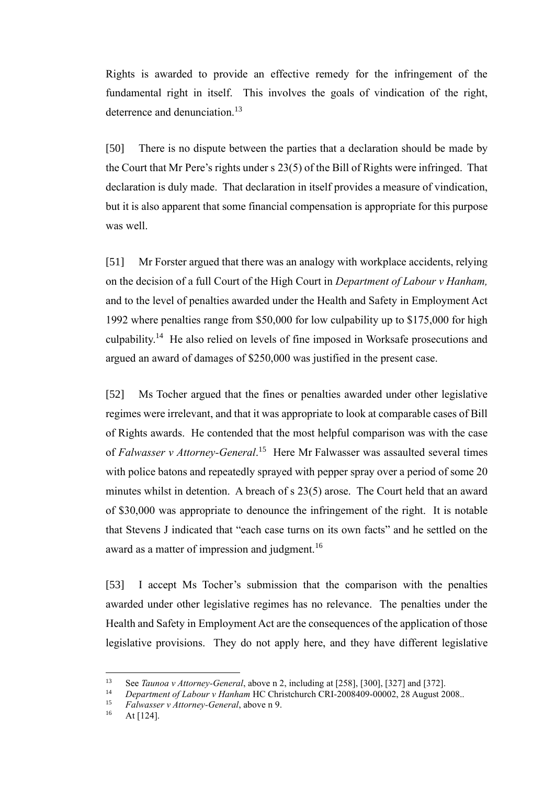Rights is awarded to provide an effective remedy for the infringement of the fundamental right in itself. This involves the goals of vindication of the right, deterrence and denunciation.<sup>13</sup>

[50] There is no dispute between the parties that a declaration should be made by the Court that Mr Pere's rights under s 23(5) of the Bill of Rights were infringed. That declaration is duly made. That declaration in itself provides a measure of vindication, but it is also apparent that some financial compensation is appropriate for this purpose was well.

[51] Mr Forster argued that there was an analogy with workplace accidents, relying on the decision of a full Court of the High Court in *Department of Labour v Hanham,*  and to the level of penalties awarded under the Health and Safety in Employment Act 1992 where penalties range from \$50,000 for low culpability up to \$175,000 for high culpability.<sup>14</sup> He also relied on levels of fine imposed in Worksafe prosecutions and argued an award of damages of \$250,000 was justified in the present case.

[52] Ms Tocher argued that the fines or penalties awarded under other legislative regimes were irrelevant, and that it was appropriate to look at comparable cases of Bill of Rights awards. He contended that the most helpful comparison was with the case of *Falwasser v Attorney-General*. 15 Here Mr Falwasser was assaulted several times with police batons and repeatedly sprayed with pepper spray over a period of some 20 minutes whilst in detention. A breach of s 23(5) arose. The Court held that an award of \$30,000 was appropriate to denounce the infringement of the right. It is notable that Stevens J indicated that "each case turns on its own facts" and he settled on the award as a matter of impression and judgment.<sup>16</sup>

[53] I accept Ms Tocher's submission that the comparison with the penalties awarded under other legislative regimes has no relevance. The penalties under the Health and Safety in Employment Act are the consequences of the application of those legislative provisions. They do not apply here, and they have different legislative

<sup>13</sup> See *Taunoa v Attorney-General*, above n [2,](#page-7-3) including at [258], [300], [327] and [372].

<sup>14</sup> *Department of Labour v Hanham* HC Christchurch CRI-2008409-00002, 28 August 2008..

<sup>15</sup> *Falwasser v Attorney-General*, above n [9.](#page-9-0)

At  $[124]$ .